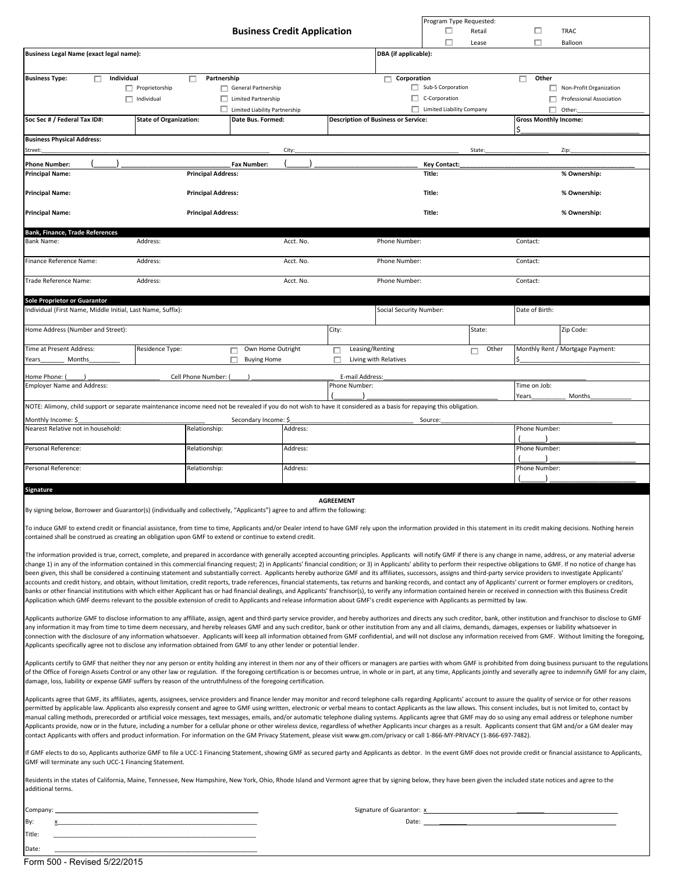|                                                                                                                                                                                                                                                                                                                                                                                                                                                               |                               |                           |                                                   |           |       |                                            |                                  | ш            | Program Type Requested:<br>Retail | □                            | <b>TRAC</b>   |                                  |  |
|---------------------------------------------------------------------------------------------------------------------------------------------------------------------------------------------------------------------------------------------------------------------------------------------------------------------------------------------------------------------------------------------------------------------------------------------------------------|-------------------------------|---------------------------|---------------------------------------------------|-----------|-------|--------------------------------------------|----------------------------------|--------------|-----------------------------------|------------------------------|---------------|----------------------------------|--|
|                                                                                                                                                                                                                                                                                                                                                                                                                                                               |                               |                           | <b>Business Credit Application</b>                |           |       |                                            |                                  |              | Lease                             | п                            |               | Balloon                          |  |
| Business Legal Name (exact legal name):                                                                                                                                                                                                                                                                                                                                                                                                                       |                               |                           |                                                   |           |       | DBA (if applicable):                       |                                  |              |                                   |                              |               |                                  |  |
|                                                                                                                                                                                                                                                                                                                                                                                                                                                               |                               |                           |                                                   |           |       |                                            |                                  |              |                                   |                              |               |                                  |  |
| Individual<br><b>Business Type:</b><br>п.                                                                                                                                                                                                                                                                                                                                                                                                                     | $\Box$ Proprietorship         | Partnership<br>п          | General Partnership                               |           |       | п.                                         | Corporation<br>Sub-S Corporation |              |                                   | Other<br>п                   |               | $\Box$ Non-Profit Organization   |  |
| $\Box$ Individual                                                                                                                                                                                                                                                                                                                                                                                                                                             |                               |                           | $\Box$ Limited Partnership                        |           |       |                                            | $\Box$ C-Corporation             |              |                                   |                              | п             | Professional Association         |  |
|                                                                                                                                                                                                                                                                                                                                                                                                                                                               |                               |                           | $\Box$ Limited Liability Partnership              |           |       |                                            | Limited Liability Company        |              |                                   |                              | п<br>Other:   |                                  |  |
| Soc Sec # / Federal Tax ID#:                                                                                                                                                                                                                                                                                                                                                                                                                                  | <b>State of Organization:</b> |                           | Date Bus. Formed:                                 |           |       | <b>Description of Business or Service:</b> |                                  |              |                                   | <b>Gross Monthly Income:</b> |               |                                  |  |
| <b>Business Physical Address:</b>                                                                                                                                                                                                                                                                                                                                                                                                                             |                               |                           |                                                   |           |       |                                            |                                  |              |                                   |                              |               |                                  |  |
| Street:                                                                                                                                                                                                                                                                                                                                                                                                                                                       |                               |                           |                                                   | City:     |       |                                            |                                  |              | State:                            |                              | Zip:          |                                  |  |
| <b>Phone Number:</b><br><b>Principal Name:</b>                                                                                                                                                                                                                                                                                                                                                                                                                |                               | <b>Principal Address:</b> | <b>Fax Number:</b>                                |           |       |                                            | <b>Key Contact:</b><br>Title:    |              |                                   |                              |               | % Ownership:                     |  |
| <b>Principal Name:</b>                                                                                                                                                                                                                                                                                                                                                                                                                                        |                               | Title:                    |                                                   |           |       |                                            |                                  | % Ownership: |                                   |                              |               |                                  |  |
| <b>Principal Name:</b>                                                                                                                                                                                                                                                                                                                                                                                                                                        |                               | <b>Principal Address:</b> |                                                   |           |       |                                            | Title:                           |              |                                   |                              |               | % Ownership:                     |  |
|                                                                                                                                                                                                                                                                                                                                                                                                                                                               |                               |                           |                                                   |           |       |                                            |                                  |              |                                   |                              |               |                                  |  |
| <b>Bank, Finance, Trade References</b><br><b>Bank Name:</b>                                                                                                                                                                                                                                                                                                                                                                                                   | Address:                      |                           |                                                   | Acct. No. |       | Phone Number:                              |                                  |              |                                   | Contact:                     |               |                                  |  |
| Finance Reference Name:                                                                                                                                                                                                                                                                                                                                                                                                                                       | Address:                      |                           |                                                   | Acct. No. |       | Phone Number:                              |                                  |              |                                   | Contact:                     |               |                                  |  |
| Trade Reference Name:                                                                                                                                                                                                                                                                                                                                                                                                                                         | Address:                      |                           |                                                   | Acct. No. |       | Phone Number:                              |                                  |              |                                   | Contact:                     |               |                                  |  |
| Sole Proprietor or Guarantor                                                                                                                                                                                                                                                                                                                                                                                                                                  |                               |                           |                                                   |           |       |                                            |                                  |              |                                   |                              |               |                                  |  |
| Individual (First Name, Middle Initial, Last Name, Suffix):                                                                                                                                                                                                                                                                                                                                                                                                   |                               |                           |                                                   |           |       | Social Security Number:                    |                                  |              |                                   | Date of Birth:               |               |                                  |  |
| Home Address (Number and Street):                                                                                                                                                                                                                                                                                                                                                                                                                             |                               |                           |                                                   |           | City: |                                            |                                  |              | State:                            |                              |               | Zip Code:                        |  |
| Time at Present Address:<br>Years<br>Months                                                                                                                                                                                                                                                                                                                                                                                                                   | Residence Type:               |                           | Own Home Outright<br>П<br>п<br><b>Buying Home</b> |           | □     | Leasing/Renting<br>Living with Relatives   |                                  |              | Other<br>п                        |                              |               | Monthly Rent / Mortgage Payment: |  |
| Home Phone: (                                                                                                                                                                                                                                                                                                                                                                                                                                                 |                               | Cell Phone Number: (      |                                                   |           |       | E-mail Address:                            |                                  |              |                                   |                              |               |                                  |  |
| <b>Employer Name and Address:</b>                                                                                                                                                                                                                                                                                                                                                                                                                             |                               |                           |                                                   |           |       | Phone Number:                              |                                  |              |                                   | Time on Job:                 |               |                                  |  |
| NOTE: Alimony, child support or separate maintenance income need not be revealed if you do not wish to have it considered as a basis for repaying this obligation.                                                                                                                                                                                                                                                                                            |                               |                           |                                                   |           |       |                                            |                                  |              |                                   | Years                        |               | Months                           |  |
| Monthly Income: \$                                                                                                                                                                                                                                                                                                                                                                                                                                            |                               |                           | Secondary Income: \$                              |           |       |                                            | Source:                          |              |                                   |                              |               |                                  |  |
| Nearest Relative not in household:                                                                                                                                                                                                                                                                                                                                                                                                                            |                               | Relationship:             |                                                   | Address:  |       |                                            |                                  |              |                                   | Phone Number:                |               |                                  |  |
| Personal Reference:                                                                                                                                                                                                                                                                                                                                                                                                                                           |                               | Relationship:             |                                                   | Address:  |       |                                            |                                  |              |                                   |                              | Phone Number: |                                  |  |
| Personal Reference:                                                                                                                                                                                                                                                                                                                                                                                                                                           | Address:                      |                           |                                                   |           |       | Phone Number:                              |                                  |              |                                   |                              |               |                                  |  |
|                                                                                                                                                                                                                                                                                                                                                                                                                                                               |                               |                           |                                                   |           |       |                                            |                                  |              |                                   |                              |               |                                  |  |
| Signature<br><b>AGREEMENT</b>                                                                                                                                                                                                                                                                                                                                                                                                                                 |                               |                           |                                                   |           |       |                                            |                                  |              |                                   |                              |               |                                  |  |
| By signing below, Borrower and Guarantor(s) (individually and collectively, "Applicants") agree to and affirm the following:                                                                                                                                                                                                                                                                                                                                  |                               |                           |                                                   |           |       |                                            |                                  |              |                                   |                              |               |                                  |  |
| To induce GMF to extend credit or financial assistance, from time to time, Applicants and/or Dealer intend to have GMF rely upon the information provided in this statement in its credit making decisions. Nothing herein                                                                                                                                                                                                                                    |                               |                           |                                                   |           |       |                                            |                                  |              |                                   |                              |               |                                  |  |
| contained shall be construed as creating an obligation upon GMF to extend or continue to extend credit.                                                                                                                                                                                                                                                                                                                                                       |                               |                           |                                                   |           |       |                                            |                                  |              |                                   |                              |               |                                  |  |
| The information provided is true, correct, complete, and prepared in accordance with generally accepted accounting principles. Applicants will notify GMF if there is any change in name, address, or any material adverse                                                                                                                                                                                                                                    |                               |                           |                                                   |           |       |                                            |                                  |              |                                   |                              |               |                                  |  |
| change 1) in any of the information contained in this commercial financing request; 2) in Applicants' financial condition; or 3) in Applicants' ability to perform their respective obligations to GMF. If no notice of change<br>been given, this shall be considered a continuing statement and substantially correct. Applicants hereby authorize GMF and its affiliates, successors, assigns and third-party service providers to investigate Applicants' |                               |                           |                                                   |           |       |                                            |                                  |              |                                   |                              |               |                                  |  |
| accounts and credit history, and obtain, without limitation, credit reports, trade references, financial statements, tax returns and banking records, and contact any of Applicants' current or former employers or creditors,                                                                                                                                                                                                                                |                               |                           |                                                   |           |       |                                            |                                  |              |                                   |                              |               |                                  |  |
| banks or other financial institutions with which either Applicant has or had financial dealings, and Applicants' franchisor(s), to verify any information contained herein or received in connection with this Business Credit<br>Application which GMF deems relevant to the possible extension of credit to Applicants and release information about GMF's credit experience with Applicants as permitted by law.                                           |                               |                           |                                                   |           |       |                                            |                                  |              |                                   |                              |               |                                  |  |
|                                                                                                                                                                                                                                                                                                                                                                                                                                                               |                               |                           |                                                   |           |       |                                            |                                  |              |                                   |                              |               |                                  |  |
| Applicants authorize GMF to disclose information to any affiliate, assign, agent and third-party service provider, and hereby authorizes and directs any such creditor, bank, other institution and franchisor to disclose to<br>any information it may from time to time deem necessary, and hereby releases GMF and any such creditor, bank or other institution from any and all claims, demands, damages, expenses or liability whatsoever in             |                               |                           |                                                   |           |       |                                            |                                  |              |                                   |                              |               |                                  |  |
| connection with the disclosure of any information whatsoever. Applicants will keep all information obtained from GMF confidential, and will not disclose any information received from GMF. Without limiting the foregoing,                                                                                                                                                                                                                                   |                               |                           |                                                   |           |       |                                            |                                  |              |                                   |                              |               |                                  |  |
| Applicants specifically agree not to disclose any information obtained from GMF to any other lender or potential lender.                                                                                                                                                                                                                                                                                                                                      |                               |                           |                                                   |           |       |                                            |                                  |              |                                   |                              |               |                                  |  |
| Applicants certify to GMF that neither they nor any person or entity holding any interest in them nor any of their officers or managers are parties with whom GMF is prohibited from doing business pursuant to the regulation                                                                                                                                                                                                                                |                               |                           |                                                   |           |       |                                            |                                  |              |                                   |                              |               |                                  |  |
| of the Office of Foreign Assets Control or any other law or regulation. If the foregoing certification is or becomes untrue, in whole or in part, at any time, Applicants jointly and severally agree to indemnify GMF for any<br>damage, loss, liability or expense GMF suffers by reason of the untruthfulness of the foregoing certification.                                                                                                              |                               |                           |                                                   |           |       |                                            |                                  |              |                                   |                              |               |                                  |  |
| Applicants agree that GMF, its affiliates, agents, assignees, service providers and finance lender may monitor and record telephone calls regarding Applicants' account to assure the quality of service or for other reasons                                                                                                                                                                                                                                 |                               |                           |                                                   |           |       |                                            |                                  |              |                                   |                              |               |                                  |  |
| permitted by applicable law. Applicants also expressly consent and agree to GMF using written, electronic or verbal means to contact Applicants as the law allows. This consent includes, but is not limited to, contact by                                                                                                                                                                                                                                   |                               |                           |                                                   |           |       |                                            |                                  |              |                                   |                              |               |                                  |  |
| manual calling methods, prerecorded or artificial voice messages, text messages, emails, and/or automatic telephone dialing systems. Applicants agree that GMF may do so using any email address or telephone number<br>Applicants provide, now or in the future, including a number for a cellular phone or other wireless device, regardless of whether Applicants incur charges as a result. Applicants consent that GM and/or a GM dealer may             |                               |                           |                                                   |           |       |                                            |                                  |              |                                   |                              |               |                                  |  |
| contact Applicants with offers and product information. For information on the GM Privacy Statement, please visit www.gm.com/privacy or call 1-866-MY-PRIVACY (1-866-697-7482).                                                                                                                                                                                                                                                                               |                               |                           |                                                   |           |       |                                            |                                  |              |                                   |                              |               |                                  |  |
| If GMF elects to do so, Applicants authorize GMF to file a UCC-1 Financing Statement, showing GMF as secured party and Applicants as debtor. In the event GMF does not provide credit or financial assistance to Applicants,                                                                                                                                                                                                                                  |                               |                           |                                                   |           |       |                                            |                                  |              |                                   |                              |               |                                  |  |
| GMF will terminate any such UCC-1 Financing Statement.                                                                                                                                                                                                                                                                                                                                                                                                        |                               |                           |                                                   |           |       |                                            |                                  |              |                                   |                              |               |                                  |  |
| Residents in the states of California, Maine, Tennessee, New Hampshire, New York, Ohio, Rhode Island and Vermont agree that by signing below, they have been given the included state notices and agree to the<br>additional terms.                                                                                                                                                                                                                           |                               |                           |                                                   |           |       |                                            |                                  |              |                                   |                              |               |                                  |  |
|                                                                                                                                                                                                                                                                                                                                                                                                                                                               |                               |                           |                                                   |           |       |                                            |                                  |              |                                   |                              |               |                                  |  |
| Company                                                                                                                                                                                                                                                                                                                                                                                                                                                       |                               |                           |                                                   |           |       |                                            |                                  |              |                                   |                              |               |                                  |  |

| Company. | Signature of Guarantor: |
|----------|-------------------------|
| By:      | Date:                   |
| Title:   |                         |
| Date:    |                         |